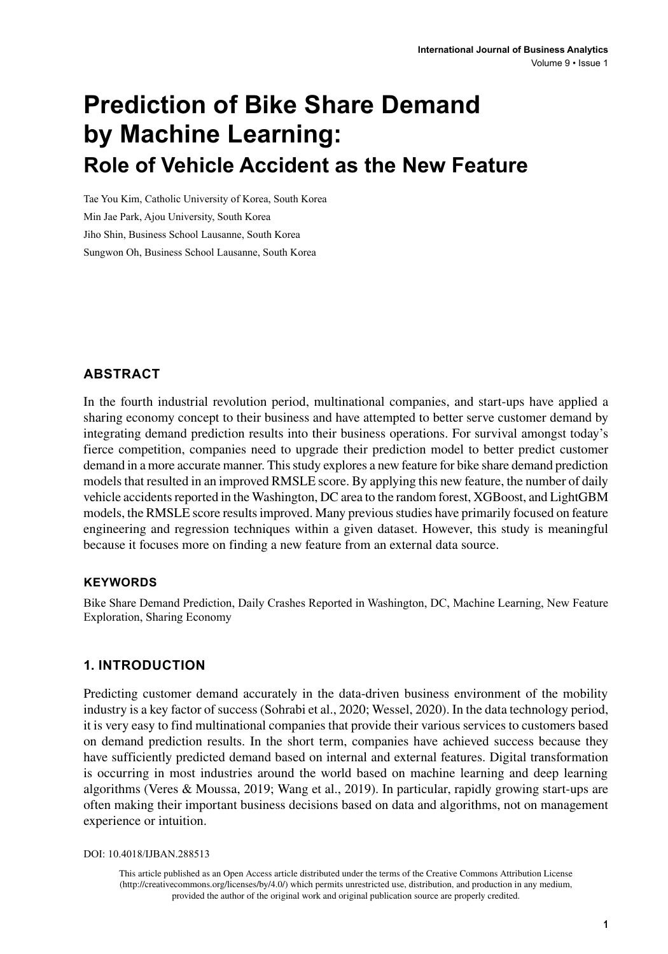# **Prediction of Bike Share Demand by Machine Learning: Role of Vehicle Accident as the New Feature**

Tae You Kim, Catholic University of Korea, South Korea Min Jae Park, Ajou University, South Korea Jiho Shin, Business School Lausanne, South Korea Sungwon Oh, Business School Lausanne, South Korea

#### **ABSTRACT**

In the fourth industrial revolution period, multinational companies, and start-ups have applied a sharing economy concept to their business and have attempted to better serve customer demand by integrating demand prediction results into their business operations. For survival amongst today's fierce competition, companies need to upgrade their prediction model to better predict customer demand in a more accurate manner. This study explores a new feature for bike share demand prediction models that resulted in an improved RMSLE score. By applying this new feature, the number of daily vehicle accidents reported in the Washington, DC area to the random forest, XGBoost, and LightGBM models, the RMSLE score results improved. Many previous studies have primarily focused on feature engineering and regression techniques within a given dataset. However, this study is meaningful because it focuses more on finding a new feature from an external data source.

#### **Keywords**

Bike Share Demand Prediction, Daily Crashes Reported in Washington, DC, Machine Learning, New Feature Exploration, Sharing Economy

#### **1. INTRODUCTION**

Predicting customer demand accurately in the data-driven business environment of the mobility industry is a key factor of success (Sohrabi et al., 2020; Wessel, 2020). In the data technology period, it is very easy to find multinational companies that provide their various services to customers based on demand prediction results. In the short term, companies have achieved success because they have sufficiently predicted demand based on internal and external features. Digital transformation is occurring in most industries around the world based on machine learning and deep learning algorithms (Veres & Moussa, 2019; Wang et al., 2019). In particular, rapidly growing start-ups are often making their important business decisions based on data and algorithms, not on management experience or intuition.

DOI: 10.4018/IJBAN.288513

This article published as an Open Access article distributed under the terms of the Creative Commons Attribution License (http://creativecommons.org/licenses/by/4.0/) which permits unrestricted use, distribution, and production in any medium, provided the author of the original work and original publication source are properly credited.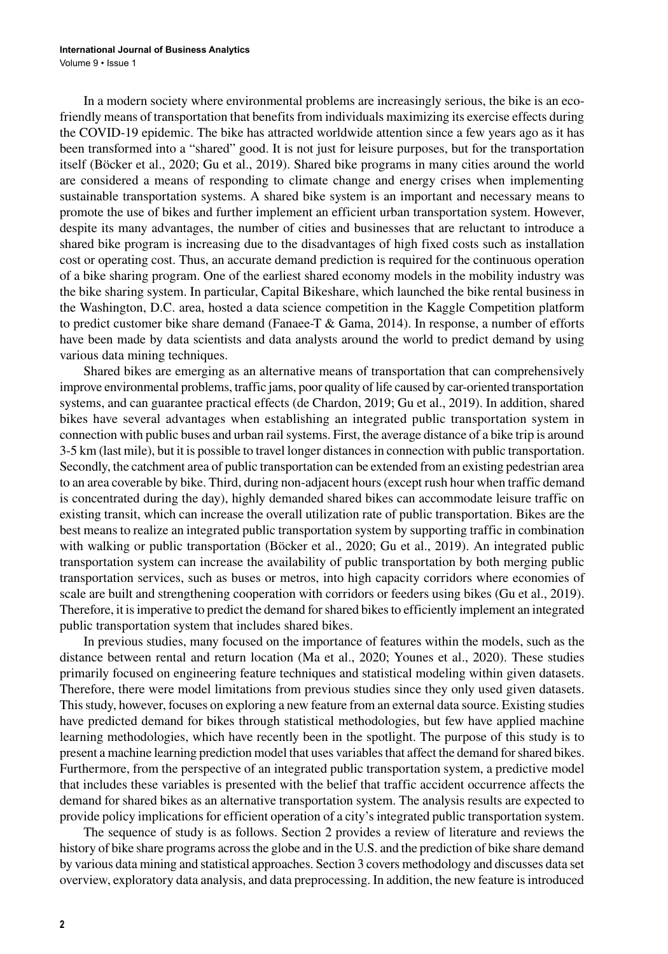In a modern society where environmental problems are increasingly serious, the bike is an ecofriendly means of transportation that benefits from individuals maximizing its exercise effects during the COVID-19 epidemic. The bike has attracted worldwide attention since a few years ago as it has been transformed into a "shared" good. It is not just for leisure purposes, but for the transportation itself (Böcker et al., 2020; Gu et al., 2019). Shared bike programs in many cities around the world are considered a means of responding to climate change and energy crises when implementing sustainable transportation systems. A shared bike system is an important and necessary means to promote the use of bikes and further implement an efficient urban transportation system. However, despite its many advantages, the number of cities and businesses that are reluctant to introduce a shared bike program is increasing due to the disadvantages of high fixed costs such as installation cost or operating cost. Thus, an accurate demand prediction is required for the continuous operation of a bike sharing program. One of the earliest shared economy models in the mobility industry was the bike sharing system. In particular, Capital Bikeshare, which launched the bike rental business in the Washington, D.C. area, hosted a data science competition in the Kaggle Competition platform to predict customer bike share demand (Fanaee-T  $\&$  Gama, 2014). In response, a number of efforts have been made by data scientists and data analysts around the world to predict demand by using various data mining techniques.

Shared bikes are emerging as an alternative means of transportation that can comprehensively improve environmental problems, traffic jams, poor quality of life caused by car-oriented transportation systems, and can guarantee practical effects (de Chardon, 2019; Gu et al., 2019). In addition, shared bikes have several advantages when establishing an integrated public transportation system in connection with public buses and urban rail systems. First, the average distance of a bike trip is around 3-5 km (last mile), but it is possible to travel longer distances in connection with public transportation. Secondly, the catchment area of public transportation can be extended from an existing pedestrian area to an area coverable by bike. Third, during non-adjacent hours (except rush hour when traffic demand is concentrated during the day), highly demanded shared bikes can accommodate leisure traffic on existing transit, which can increase the overall utilization rate of public transportation. Bikes are the best means to realize an integrated public transportation system by supporting traffic in combination with walking or public transportation (Böcker et al., 2020; Gu et al., 2019). An integrated public transportation system can increase the availability of public transportation by both merging public transportation services, such as buses or metros, into high capacity corridors where economies of scale are built and strengthening cooperation with corridors or feeders using bikes (Gu et al., 2019). Therefore, it is imperative to predict the demand for shared bikes to efficiently implement an integrated public transportation system that includes shared bikes.

In previous studies, many focused on the importance of features within the models, such as the distance between rental and return location (Ma et al., 2020; Younes et al., 2020). These studies primarily focused on engineering feature techniques and statistical modeling within given datasets. Therefore, there were model limitations from previous studies since they only used given datasets. This study, however, focuses on exploring a new feature from an external data source. Existing studies have predicted demand for bikes through statistical methodologies, but few have applied machine learning methodologies, which have recently been in the spotlight. The purpose of this study is to present a machine learning prediction model that uses variables that affect the demand for shared bikes. Furthermore, from the perspective of an integrated public transportation system, a predictive model that includes these variables is presented with the belief that traffic accident occurrence affects the demand for shared bikes as an alternative transportation system. The analysis results are expected to provide policy implications for efficient operation of a city's integrated public transportation system.

The sequence of study is as follows. Section 2 provides a review of literature and reviews the history of bike share programs across the globe and in the U.S. and the prediction of bike share demand by various data mining and statistical approaches. Section 3 covers methodology and discusses data set overview, exploratory data analysis, and data preprocessing. In addition, the new feature is introduced